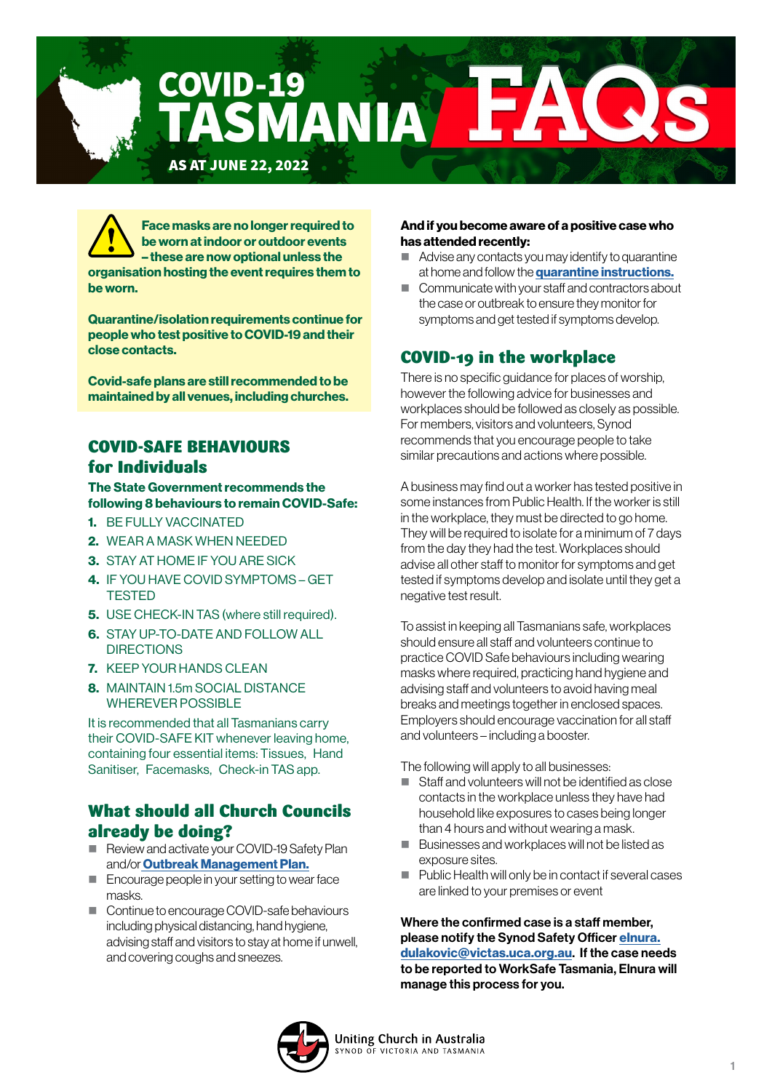

Face masks are no longer required to be worn at indoor or outdoor events – these are now optional unless the organisation hosting the event requires them to be worn.

Quarantine/isolation requirements continue for people who test positive to COVID-19 and their close contacts.

Covid-safe plans are still recommended to be maintained by all venues, including churches.

## COVID-SAFE BEHAVIOURS for Individuals

#### The State Government recommends the following 8 behaviours to remain COVID-Safe:

- 1. BE FULLY VACCINATED
- 2. WEAR A MASK WHEN NEEDED
- 3. STAY AT HOME IF YOU ARE SICK
- 4. IF YOU HAVE COVID SYMPTOMS GET **TESTED**
- **5.** USE CHECK-IN TAS (where still required).
- 6. STAY UP-TO-DATE AND FOLLOW ALL **DIRECTIONS**
- 7. KEEP YOUR HANDS CLEAN
- 8. MAINTAIN 1.5m SOCIAL DISTANCE WHEREVER POSSIBLE

It is recommended that all Tasmanians carry their COVID-SAFE KIT whenever leaving home, containing four essential items: Tissues, Hand Sanitiser, Facemasks, Check-in TAS app.

### What should all Church Councils already be doing?

- Review and activate your COVID-19 Safety Plan and/or [Outbreak Management Plan.](https://www.coronavirus.tas.gov.au/business-and-employees/covid-19-case-and-outbreak-management/case-and-outbreak-management-plans)
- Encourage people in your setting to wear face masks[.](https://www.coronavirus.tas.gov.au/business-and-employees/covid-19-case-and-outbreak-management/cleaning-and-disinfection-after-a-case)
- Continue to encourage COVID-safe behaviours including physical distancing, hand hygiene, advising staff and visitors to stay at home if unwell, and covering coughs and sneezes.

#### And if you become aware of a positive case who has attended recently:

- Advise any contacts you may identify to quarantine at home and follow the **[quarantine instructions.](https://www.coronavirus.tas.gov.au/travellers-and-visitors/quarantine-isolation-and-stay-at-home-directions/quarantine)**
- Communicate with your staff and contractors about the case or outbreak to ensure they monitor for symptoms and get tested if symptoms develop.

# COVID-19 in the workplace

There is no specific guidance for places of worship, however the following advice for businesses and workplaces should be followed as closely as possible. For members, visitors and volunteers, Synod recommends that you encourage people to take similar precautions and actions where possible.

A business may find out a worker has tested positive in some instances from Public Health. If the worker is still in the workplace, they must be directed to go home. They will be required to isolate for a minimum of 7 days from the day they had the test. Workplaces should advise all other staff to monitor for symptoms and get tested if symptoms develop and isolate until they get a negative test result.

To assist in keeping all Tasmanians safe, workplaces should ensure all staff and volunteers continue to practice COVID Safe behaviours including wearing masks where required, practicing hand hygiene and advising staff and volunteers to avoid having meal breaks and meetings together in enclosed spaces. Employers should encourage vaccination for all staff and volunteers – including a booster.

The following will apply to all businesses:

- Staff and volunteers will not be identified as close contacts in the workplace unless they have had household like exposures to cases being longer than 4 hours and without wearing a mask.
- Businesses and workplaces will not be listed as exposure sites.
- $\blacksquare$  Public Health will only be in contact if several cases are linked to your premises or event

Where the confirmed case is a staff member, please notify the Synod Safety Officer [elnura.](mailto:elnura.dulakovic%40victas.uca.org.au?subject=) [dulakovic@victas.uca.org.au](mailto:elnura.dulakovic%40victas.uca.org.au?subject=). If the case needs to be reported to WorkSafe Tasmania, Elnura will manage this process for you.

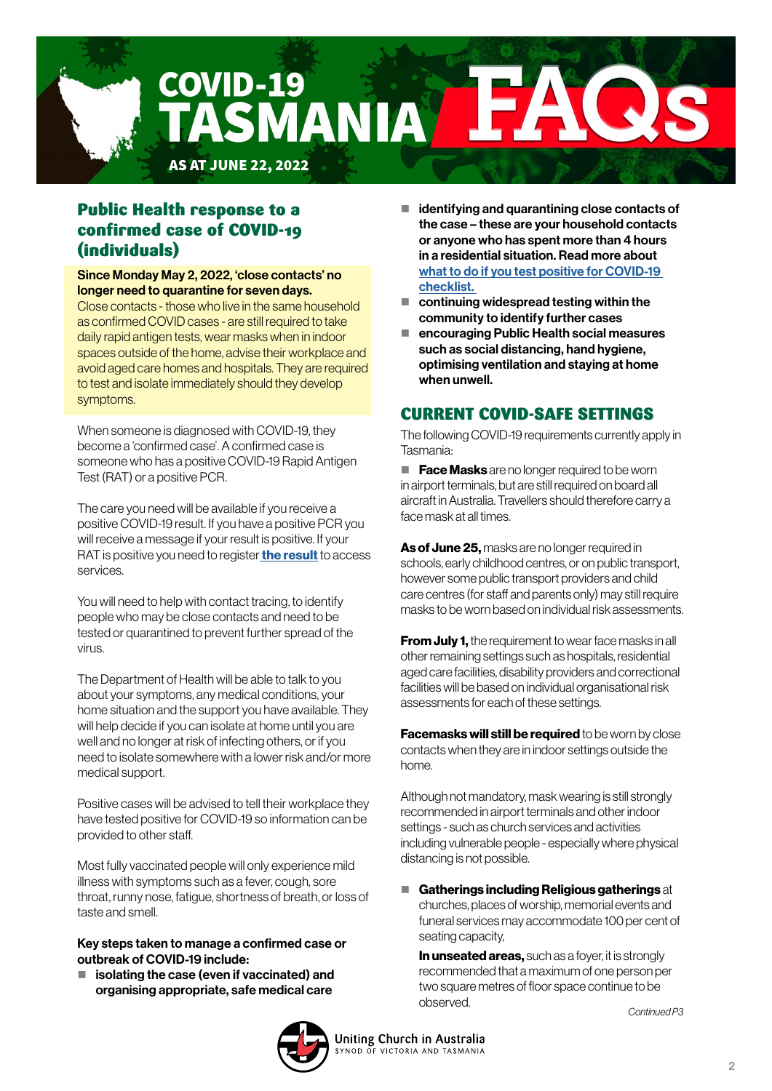

# Public Health response to a confirmed case of COVID-19 (individuals)

Since Monday May 2, 2022, 'close contacts' no longer need to quarantine for seven days.

Close contacts - those who live in the same household as confirmed COVID cases - are still required to take daily rapid antigen tests, wear masks when in indoor spaces outside of the home, advise their workplace and avoid aged care homes and hospitals. They are required to test and isolate immediately should they develop symptoms.

When someone is diagnosed with COVID-19, they become a 'confirmed case'. A confirmed case is someone who has a positive COVID-19 Rapid Antigen Test (RAT) or a positive PCR.

The care you need will be available if you receive a positive COVID-19 result. If you have a positive PCR you will receive a message if your result is positive. If your RAT is positive you need to register [the result](https://form.jotform.com/220047395346052) to access services.

You will need to help with contact tracing, to identify people who may be close contacts and need to be tested or quarantined to prevent further spread of the virus.

The Department of Health will be able to talk to you about your symptoms, any medical conditions, your home situation and the support you have available. They will help decide if you can isolate at home until you are well and no longer at risk of infecting others, or if you need to isolate somewhere with a lower risk and/or more medical support.

Positive cases will be advised to tell their workplace they have tested positive for COVID-19 so information can be provided to other staff.

Most fully vaccinated people will only experience mild illness with symptoms such as a fever, cough, sore throat, runny nose, fatigue, shortness of breath, or loss of taste and smell.

#### Key steps taken to manage a confirmed case or outbreak of COVID-19 include:

 $\blacksquare$  isolating the case (even if vaccinated) and organising appropriate, safe medical care

- $\blacksquare$  identifying and quarantining close contacts of the case – these are your household contacts or anyone who has spent more than 4 hours in a residential situation. Read more about [what to do if you test positive for COVID-19](https://www.coronavirus.tas.gov.au/keeping-yourself-safe/what-to-do-if-you-test-positive-to-covid-19-checklist)  [checklist.](https://www.coronavirus.tas.gov.au/keeping-yourself-safe/what-to-do-if-you-test-positive-to-covid-19-checklist)
- $\blacksquare$  continuing widespread testing within the community to identify further cases
- encouraging Public Health social measures such as social distancing, hand hygiene, optimising ventilation and staying at home when unwell.

# CURRENT COVID-SAFE SETTINGS

The following COVID-19 requirements currently apply in Tasmania:

 $\blacksquare$  **Face Masks** are no longer required to be worn in airport terminals, but are still required on board all aircraft in Australia. Travellers should therefore carry a face mask at all times.

As of June 25, masks are no longer required in schools, early childhood centres, or on public transport, however some public transport providers and child care centres (for staff and parents only) may still require masks to be worn based on individual risk assessments.

**From July 1.** the requirement to wear face masks in all other remaining settings such as hospitals, residential aged care facilities, disability providers and correctional facilities will be based on individual organisational risk assessments for each of these settings.

**Facemasks will still be required** to be worn by close contacts when they are in indoor settings outside the home.

Although not mandatory, mask wearing is still strongly recommended in airport terminals and other indoor settings - such as church services and activities including vulnerable people - especially where physical distancing is not possible.

Gatherings including Religious gatherings at churches, places of worship, memorial events and funeral services may accommodate 100 per cent of seating capacity,

In unseated areas, such as a foyer, it is strongly recommended that a maximum of one person per two square metres of floor space continue to be observed. *Continued P3*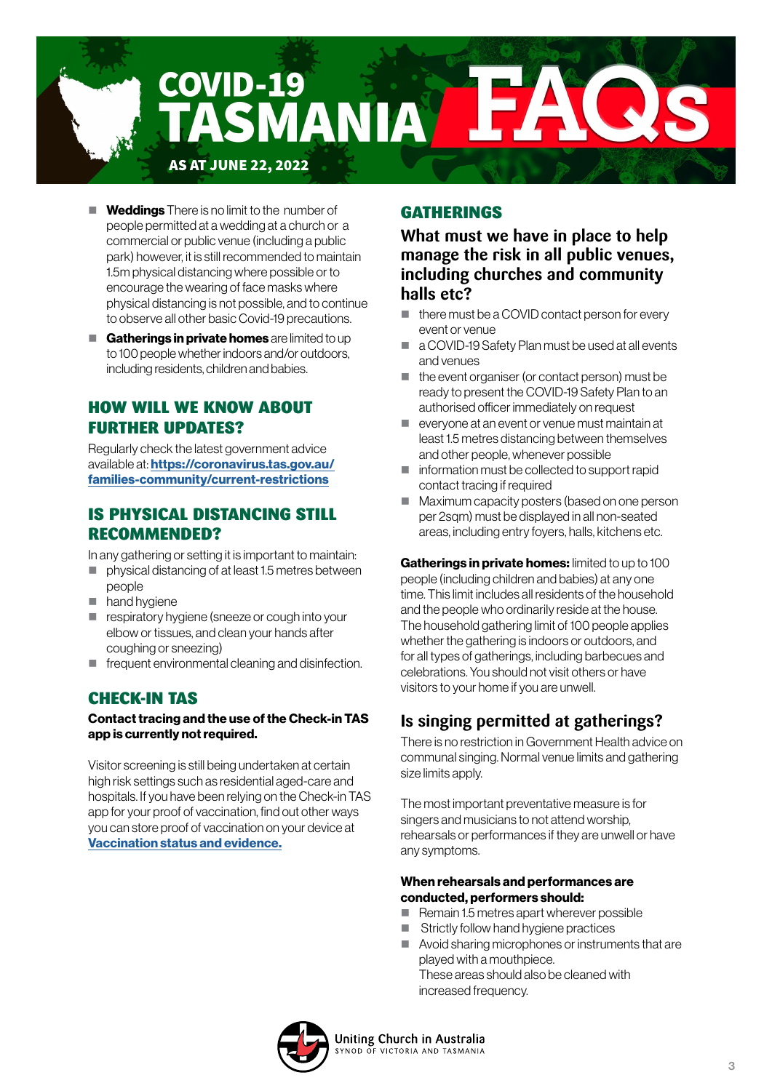

- $\blacksquare$  Weddings There is no limit to the number of people permitted at a wedding at a church or a commercial or public venue (including a public park) however, it is still recommended to maintain 1.5m physical distancing where possible or to encourage the wearing of face masks where physical distancing is not possible, and to continue to observe all other basic Covid-19 precautions.
- Gatherings in private homes are limited to up to 100 people whether indoors and/or outdoors, including residents, children and babies.

## HOW WILL WE KNOW ABOUT FURTHER UPDATES?

Regularly check the latest government advice available at: [https://coronavirus.tas.gov.au/](https://coronavirus.tas.gov.au/
families-community/current-restrictions) [families-community/current-restrictions](https://coronavirus.tas.gov.au/
families-community/current-restrictions)

### IS PHYSICAL DISTANCING STILL RECOMMENDED?

In any gathering or setting it is important to maintain:

- **physical distancing of at least 1.5 metres between** people
- hand hygiene
- **F** respiratory hygiene (sneeze or cough into your elbow or tissues, and clean your hands after coughing or sneezing)
- **F** frequent environmental cleaning and disinfection.

# CHECK-IN TAS

#### Contact tracing and the use of the Check-in TAS app is currently not required.

Visitor screening is still being undertaken at certain high risk settings such as residential aged-care and hospitals. If you have been relying on the Check-in TAS app for your proof of vaccination, find out other ways you can store proof of vaccination on your device at [Vaccination status and evidence.](https://www.coronavirus.tas.gov.au/business-and-employees/vaccination-requirements/vaccination-status-and-evidence)

### GATHERINGS

**What must we have in place to help manage the risk in all public venues, including churches and community halls etc?**

- $\blacksquare$  there must be a COVID contact person for every event or venue
- a COVID-19 Safety Plan must be used at all events and venues
- $\blacksquare$  the event organiser (or contact person) must be ready to present the COVID-19 Safety Plan to an authorised officer immediately on request
- everyone at an event or venue must maintain at least 1.5 metres distancing between themselves and other people, whenever possible
- information must be collected to support rapid contact tracing if required
- **Maximum capacity posters (based on one person** per 2sqm) must be displayed in all non-seated areas, including entry foyers, halls, kitchens etc.

Gatherings in private homes: limited to up to 100 people (including children and babies) at any one time. This limit includes all residents of the household and the people who ordinarily reside at the house. The household gathering limit of 100 people applies whether the gathering is indoors or outdoors, and for all types of gatherings, including barbecues and celebrations. You should not visit others or have visitors to your home if you are unwell.

# **Is singing permitted at gatherings?**

There is no restriction in Government Health advice on communal singing. Normal venue limits and gathering size limits apply.

The most important preventative measure is for singers and musicians to not attend worship, rehearsals or performances if they are unwell or have any symptoms.

#### When rehearsals and performances are conducted, performers should:

- $\blacksquare$  Remain 1.5 metres apart wherever possible
- Strictly follow hand hygiene practices
- Avoid sharing microphones or instruments that are played with a mouthpiece. These areas should also be cleaned with increased frequency.